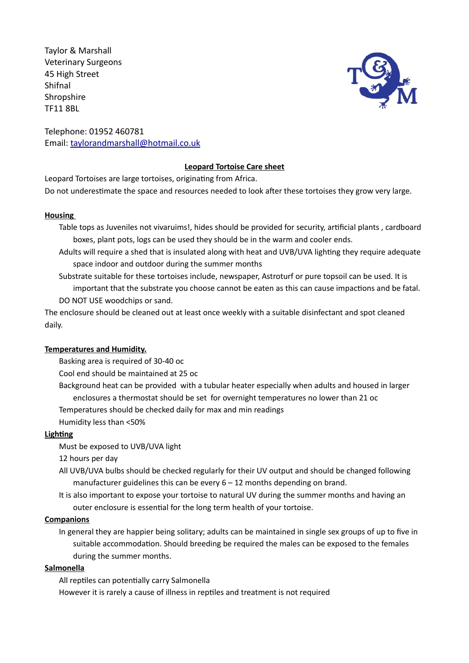Taylor & Marshall Veterinary Surgeons 45 High Street Shifnal **Shropshire** TF11 8BL



Telephone: 01952 460781 Email: taylorandmarshall@hotmail.co.uk

# **Leopard Tortoise Care sheet**

Leopard Tortoises are large tortoises, originating from Africa. Do not underestimate the space and resources needed to look after these tortoises they grow very large.

### **Housing**

- Table tops as Juveniles not vivaruims!, hides should be provided for security, artificial plants , cardboard boxes, plant pots, logs can be used they should be in the warm and cooler ends.
- Adults will require a shed that is insulated along with heat and UVB/UVA lighting they require adequate space indoor and outdoor during the summer months
- Substrate suitable for these tortoises include, newspaper, Astroturf or pure topsoil can be used. It is important that the substrate you choose cannot be eaten as this can cause impactions and be fatal. DO NOT USE woodchips or sand.

The enclosure should be cleaned out at least once weekly with a suitable disinfectant and spot cleaned daily.

# **Temperatures and Humidity.**

Basking area is required of 30-40 oc

Cool end should be maintained at 25 oc

Background heat can be provided with a tubular heater especially when adults and housed in larger enclosures a thermostat should be set for overnight temperatures no lower than 21 oc Temperatures should be checked daily for max and min readings

Humidity less than <50%

# **Lighting**

Must be exposed to UVB/UVA light

12 hours per day

- All UVB/UVA bulbs should be checked regularly for their UV output and should be changed following manufacturer guidelines this can be every  $6 - 12$  months depending on brand.
- It is also important to expose your tortoise to natural UV during the summer months and having an outer enclosure is essential for the long term health of your tortoise.

### **Companions**

In general they are happier being solitary; adults can be maintained in single sex groups of up to five in suitable accommodation. Should breeding be required the males can be exposed to the females during the summer months.

# **Salmonella**

All reptiles can potentially carry Salmonella However it is rarely a cause of illness in reptiles and treatment is not required